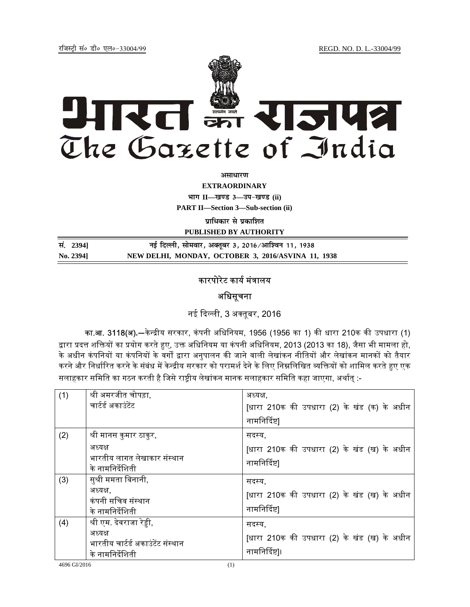jftLVªh laö Mhö ,yö&33004@99 REGD. NO. D. L.-33004/99



*<u>ature</u>lian* 

**EXTRAORDINARY Hkkx II—[k.M 3—mi&[k.M (ii)**

**PART II—Section 3—Sub-section (ii)** 

**प्राधिकार से प्रकाशित** 

**PUBLISHED BY AUTHORITY**

| सं. 2394] | नई दिल्ली, सोमवार, अक्तूबर 3, 2016/आश्विन 11, 1938 |
|-----------|----------------------------------------------------|
| No. 2394] | NEW DELHI, MONDAY, OCTOBER 3, 2016/ASVINA 11, 1938 |

# कारपोरेट कार्य मंत्रालय

## अधिसूचना

नई दिल्ली, 3 अक्तुबर, 2016

**का.आ. 3118(अ).**—केन्द्रीय सरकार, कंपनी अधिनियम, 1956 (1956 का 1) की धारा 210क की उपधारा (1) द्वारा प्रदत्त शक्तियों का प्रयोग करते हुए, उक्त अधिनियम या कंपनी अधिनियम, 2013 (2013 का 18), जैसा भी मामला हो, के अधीन कंपनियों या कंपनियों के वर्गों द्वारा अनुपालन की जाने वाली लेखांकन नीतियों और लेखांकन मानकों को तैयार करने और निर्धारित करने के संबंध में केन्द्रीय सरकार को परामर्श देने के लिए निम्नलिखित व्यक्तियों को शामिल करते हुए एक सलाहकार समिति का गठन करती है जिसे राष्ट्रीय लेखांकन मानक सलाहकार समिति कहा जाएगा, अर्थात् :-

| (1) | श्री अमरजीत चोपड़ा,<br>चार्टर्ड अकाउंटेंट                                                    | अध्यक्ष.<br>[धारा 210क की उपधारा (2) के खंड (क) के अधीन<br>नामनिर्दिष्ट |
|-----|----------------------------------------------------------------------------------------------|-------------------------------------------------------------------------|
| (2) | श्री मानस कुमार ठाकुर,<br>अध्यक्ष<br>भारतीय लागत लेखाकार संस्थान<br>के नामनिर्देशिती         | सदस्य,<br>[धारा 210क की उपधारा (2) के खंड (ख) के अधीन<br>नामनिर्दिष्ट]  |
| (3) | सुश्री ममता बिनानी,<br>अध्यक्ष.<br>कंपनी सचिव संस्थान<br>के नामनिर्देशिती                    | सदस्य,<br>[धारा 210क की उपधारा (2) के खंड (ख) के अधीन<br>नामनिर्दिष्ट   |
| (4) | श्री एम. देवराजा रेड्डी,<br>अध्यक्ष<br>भारतीय चार्टर्ड अकाउंटेंट संस्थान<br>के नामनिर्देशिती | सदस्य.<br>[धारा 210क की उपधारा (2) के खंड (ख) के अधीन<br>नामनिर्दिष्ट]। |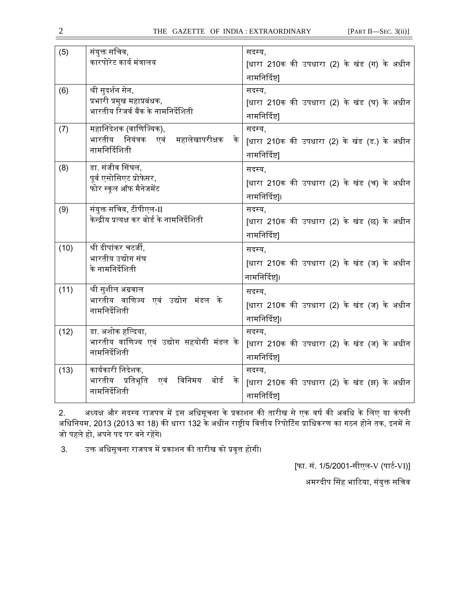| (5)  | संयुक्त सचिव,                                    | सदस्य,                                       |
|------|--------------------------------------------------|----------------------------------------------|
|      | कारपोरेट कार्य मंत्रालय                          | [धारा 210क की उपधारा (2) के खंड (ग) के अधीन  |
|      |                                                  | नामनिर्दिष्ट                                 |
| (6)  | श्री सुदर्शन सेन,                                | सदस्य,                                       |
|      | प्रभारी प्रमुख महाप्रबंधक,                       | [धारा 210क की उपधारा (2) के खंड (घ) के अधीन  |
|      | भारतीय रिजर्व बैंक के नामनिर्देशिती              | नामनिर्दिष्ट                                 |
| (7)  | महानिदेशक (वाणिज्यिक),                           | सदस्य,                                       |
|      | भारतीय नियंत्रक एवं महालेखापरीक्षक के            | [धारा 210क की उपधारा (2) के खंड (ड.) के अधीन |
|      | नामनिर्दिशिती                                    | नामनिर्दिष्ट                                 |
| (8)  | डा. संजीव सिंघल,                                 | सदस्य,                                       |
|      | पूर्व एसोसिएट प्रोफेसर,                          | [धारा 210क की उपधारा (2) के खंड (च) के अधीन  |
|      | फोर स्कूल ऑफ मैनेजमेंट                           | नामनिर्दिष्ट]।                               |
| (9)  | संयुक्त सचिव, टीपीएल-II                          | सदस्य.                                       |
|      | केन्द्रीय प्रत्यक्ष कर बोर्ड के नामनिर्देशिती    | [धारा 210क की उपधारा (2) के खंड (छ) के अधीन  |
|      |                                                  | नामनिर्दिष्टा                                |
| (10) | श्री दीपांकर चटर्जी,                             | सदस्य.                                       |
|      | भारतीय उद्योग संघ                                | [धारा 210क की उपधारा (2) के खंड (ज) के अधीन  |
|      | के नामनिर्देशिती                                 | नामनिर्दिष्ट]।                               |
| (11) | श्री सुशील अग्रवाल                               | सदस्य,                                       |
|      | भारतीय वाणिज्य एवं उद्योग मंडल के                | [धारा 210क की उपधारा (2) के खंड (ज) के अधीन  |
|      | नामनिर्देशिती                                    | नामनिर्दिष्ट]।                               |
| (12) | डा. अशोक हल्दिया,                                | सदस्य,                                       |
|      | भारतीय वाणिज्य एवं उद्योग सहयोगी मंडल के         | [धारा 210क की उपधारा (2) के खंड (ज) के अधीन  |
|      | नामनिर्देशिती                                    | नामनिर्दिष्ट                                 |
| (13) | कार्यकारी निदेशक,                                | सदस्य.                                       |
|      | विनिमय<br>भारतीय प्रतिभूति<br>बोर्ड<br>एवं<br>के | [धारा 210क की उपधारा (2) के खंड (झ) के अधीन  |
|      | नामनिर्देशिती                                    |                                              |
|      |                                                  | नामनिर्दिष्ट]                                |

2. अध्यक्ष और सदस्य राजपत्र में इस अधिसूचना के प्रकाशन की तारीख से एक वर्ष की अवधि के लिए या कंपनी अधिनियम, 2013 (2013 का 18) की धारा 132 के अधीन राष्ट्रीय वित्तीय रिपोर्टिंग प्राधिकरण का गठन होने तक, इनमें से जो पहले हो, अपने पद पर बने रहेंगे।

3. उक्त अधिसूचना राजपत्र में प्रकाशन की तारीख को प्रवृत्त होगी।

[फा. सं. 1/5/2001-सीएल-V (पार्ट-VI)]

अमरदीप सिंह भाटिया, संयुक्त सचिव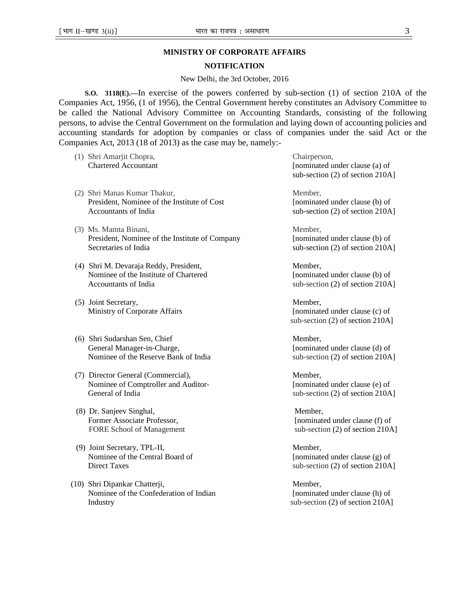### **MINISTRY OF CORPORATE AFFAIRS**

### **NOTIFICATION**

#### New Delhi, the 3rd October, 2016

**S.O. 3118(E).—**In exercise of the powers conferred by sub-section (1) of section 210A of the Companies Act, 1956, (1 of 1956), the Central Government hereby constitutes an Advisory Committee to be called the National Advisory Committee on Accounting Standards, consisting of the following persons, to advise the Central Government on the formulation and laying down of accounting policies and accounting standards for adoption by companies or class of companies under the said Act or the Companies Act, 2013 (18 of 2013) as the case may be, namely:-

- (1) Shri Amarjit Chopra, Chairperson,
- (2) Shri Manas Kumar Thakur, Member, Member, President, Nominee of the Institute of Cost [nominated under clause (b) of Accountants of India sub-section (2) of section 210A]
- (3) Ms. Mamta Binani, Member, Member, Member, Member, Member, Member, Member, Member, Member, Member, Member, Member, Member, Member, Member, Member, Member, Member, Member, Member, Member, Member, Member, Member, Member, President, Nominee of the Institute of Company [nominated under clause (b) of Secretaries of India sub-section (2) of section 210A]
- (4) Shri M. Devaraja Reddy, President, Member, Nominee of the Institute of Chartered [nominated under clause (b) of Accountants of India sub-section (2) of section 210A]
- (5) Joint Secretary, Member,
- (6) Shri Sudarshan Sen, Chief Member, General Manager-in-Charge, **Exercise 2** [nominated under clause (d) of Nominee of the Reserve Bank of India sub-section (2) of section 210A]
- (7) Director General (Commercial), Member, Nominee of Comptroller and Auditor- [nominated under clause (e) of General of India sub-section (2) of section 210A]
- (8) Dr. Sanjeev Singhal, Member,
- (9) Joint Secretary, TPL-II, Member, Nominee of the Central Board of [nominated under clause (g) of [nominated under clause (g) of Direct Taxes sub-section (2) of section 210A]
- (10) Shri Dipankar Chatterji, Member, Nominee of the Confederation of Indian [nominated under clause (h) of Industry sub-section (2) of section 210A]

Chartered Accountant [nominated under clause (a) of sub-section (2) of section 210A]

Ministry of Corporate Affairs [nominated under clause (c) of sub-section (2) of section 210A]

Former Associate Professor, [nominated under clause (f) of FORE School of Management sub-section (2) of section 210A]